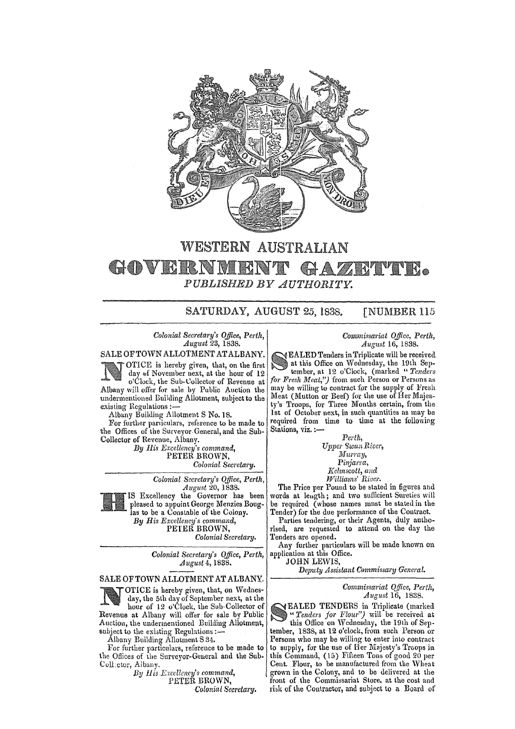

## WESTERN AUSTRALIAN • *PUBLISHED BY AUTHORITY.*

SATURDAY, AUGUST 25, 1838. [NUMBER 115

*Colonial Secretary's Office, Perth, August* 23, 1838.

SALE OF TOWN ALLOTMENT AT ALBANY.

OTICE is hereby given, that, on the first day of November next, at the hour of 12 o'Clock, the Sub-Collector of Revenue at Albany will offer for sale by Public Auction the undermentioned Building Allotment, subject to the existing Hegulations ;-

Albany Building Allotment S No. IS.

For further particulars, reference to be made to the Offices of the Surveyor-General, and the Sub-Collector of Revenue, Albany.

*By His Excellency's command,*  PETER BROWN, *Colonial Secretary.* 

> *Colonial Secretary's Office, Perth, August* 20, 1838.



Excellency the Governor has been pleased to appoint George Menzies Bouglas to be a Constable of the Colony. *By His Excellency's command,* 

PETER BROWN, *Colonial Secretary.* 

*Colonial Secretary's Office, Perth, August* 4,1838.

SALE OF TOWN ALLOTMENT AT ALBANY,

OTICE is hereby given, that, on Wednesday, the 5th day of September next, at the hour of 12 o'Clock, the Sub-Collector of Revenue at Albany will offer for sale by Public Auction, the undermentioned Building Allotment, subject to the existing Regulations :-

Albany Building Allotment S 34.

For further particulars, reference to be made to the Offices of the Surveyor-General and the Sub. Coll:ctor, Albany.

*BV* 11 *is \_Excellency's command,* 

PETER BROWN,

*Colonial Secretary.* 

## *Commissariat Office, Perth, August* 16, 1838.

EALED Tenders in Triplicate will be received at this Office on Wednesday, the 19th September, at 12 o'Clock, (marked *"Tenders for Fresh Meat,")* from such Person or Persons as may be willing to contract for the supply of Fresh Meat (Mutton or Beef) for the use of Her Majesty's Troops, for Three Months certain, from the 1st of October next, in such quantities as may be required from time to time at the following Stations, viz. :-

*Perth,*   $Upper$  Swan River, *ltIllrray,*  Pinjarra, *]{elmscott, and*   $Williams' River.$ 

The Price per Pound to be stated in figures and words at leugth; and two sufficient Sureties will be required (whose names mnst be stated in the Tender) for the due performance of the Contract

Parties tendering, or their Agents, duly authorised, are requested to attend on the day the Tenders are opened.

Any further particulars will be made known on application at this Office.

JOHN LEWIS,

*Deputy Assistant C@mmissary General.* 

## *Commissariat Q{fice, Perth, August* 16, 1838.

EALED TENDERS in Triplicate (marked " Tenders for Flour") will be received at this Office on Wednesday, the 19th of September, 1838, at 12 o'clock, from such Person or Persons who may be willing to enter into contract to supply, for the use of Her Majesty's Troops in this Command, (15) Fifteen Tons of good 20 per Cent. Flour, to be manufactured from the Wheat grown in the Colony, and to be delivered at the front of the Commissariat Store, at the cost and risk of the Contractor, and subject to a Board of